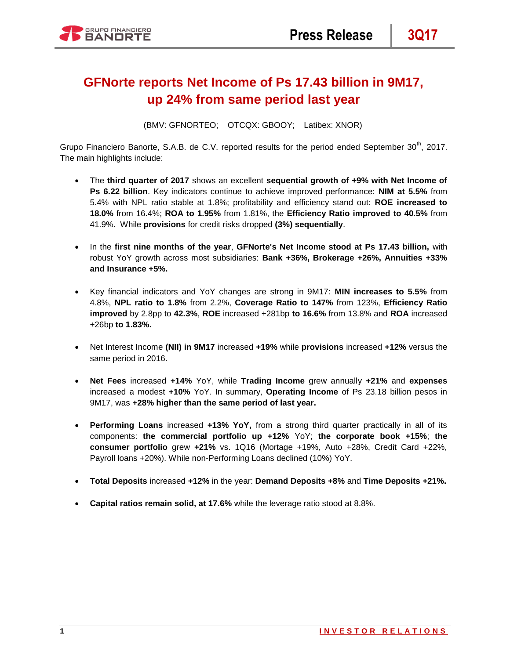# **GFNorte reports Net Income of Ps 17.43 billion in 9M17, up 24% from same period last year**

(BMV: GFNORTEO; OTCQX: GBOOY; Latibex: XNOR)

Grupo Financiero Banorte, S.A.B. de C.V. reported results for the period ended September 30<sup>th</sup>, 2017. The main highlights include:

- The **third quarter of 2017** shows an excellent **sequential growth of +9% with Net Income of Ps 6.22 billion**. Key indicators continue to achieve improved performance: **NIM at 5.5%** from 5.4% with NPL ratio stable at 1.8%; profitability and efficiency stand out: **ROE increased to 18.0%** from 16.4%; **ROA to 1.95%** from 1.81%, the **Efficiency Ratio improved to 40.5%** from 41.9%. While **provisions** for credit risks dropped **(3%) sequentially**.
- In the **first nine months of the year**, **GFNorte's Net Income stood at Ps 17.43 billion,** with robust YoY growth across most subsidiaries: **Bank +36%, Brokerage +26%, Annuities +33% and Insurance +5%.**
- Key financial indicators and YoY changes are strong in 9M17: **MIN increases to 5.5%** from 4.8%, **NPL ratio to 1.8%** from 2.2%, **Coverage Ratio to 147%** from 123%, **Efficiency Ratio improved** by 2.8pp to **42.3%**, **ROE** increased +281bp **to 16.6%** from 13.8% and **ROA** increased +26bp **to 1.83%.**
- Net Interest Income **(NII) in 9M17** increased **+19%** while **provisions** increased **+12%** versus the same period in 2016.
- **Net Fees** increased **+14%** YoY, while **Trading Income** grew annually **+21%** and **expenses** increased a modest **+10%** YoY. In summary, **Operating Income** of Ps 23.18 billion pesos in 9M17, was **+28% higher than the same period of last year.**
- **Performing Loans** increased **+13% YoY,** from a strong third quarter practically in all of its components: **the commercial portfolio up +12%** YoY; **the corporate book +15%**; **the consumer portfolio** grew **+21%** vs. 1Q16 (Mortage +19%, Auto +28%, Credit Card +22%, Payroll loans +20%). While non-Performing Loans declined (10%) YoY.
- **Total Deposits** increased **+12%** in the year: **Demand Deposits +8%** and **Time Deposits +21%.**
- **Capital ratios remain solid, at 17.6%** while the leverage ratio stood at 8.8%.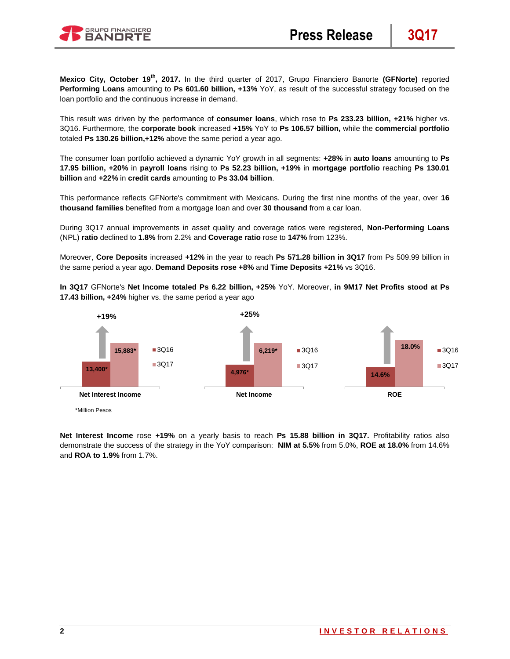

**Mexico City, October 19th, 2017.** In the third quarter of 2017, Grupo Financiero Banorte **(GFNorte)** reported **Performing Loans** amounting to **Ps 601.60 billion, +13%** YoY, as result of the successful strategy focused on the loan portfolio and the continuous increase in demand.

This result was driven by the performance of **consumer loans**, which rose to **Ps 233.23 billion, +21%** higher vs. 3Q16. Furthermore, the **corporate book** increased **+15%** YoY to **Ps 106.57 billion,** while the **commercial portfolio**  totaled **Ps 130.26 billion,+12%** above the same period a year ago.

The consumer loan portfolio achieved a dynamic YoY growth in all segments: **+28%** in **auto loans** amounting to **Ps 17.95 billion, +20%** in **payroll loans** rising to **Ps 52.23 billion, +19%** in **mortgage portfolio** reaching **Ps 130.01 billion** and **+22%** in **credit cards** amounting to **Ps 33.04 billion**.

This performance reflects GFNorte's commitment with Mexicans. During the first nine months of the year, over **16 thousand families** benefited from a mortgage loan and over **30 thousand** from a car loan.

During 3Q17 annual improvements in asset quality and coverage ratios were registered, **Non-Performing Loans**  (NPL) **ratio** declined to **1.8%** from 2.2% and **Coverage ratio** rose to **147%** from 123%.

Moreover, **Core Deposits** increased **+12%** in the year to reach **Ps 571.28 billion in 3Q17** from Ps 509.99 billion in the same period a year ago. **Demand Deposits rose +8%** and **Time Deposits +21%** vs 3Q16.

**In 3Q17** GFNorte's **Net Income totaled Ps 6.22 billion, +25%** YoY. Moreover, **in 9M17 Net Profits stood at Ps 17.43 billion, +24%** higher vs. the same period a year ago



<sup>\*</sup>Million Pesos

**Net Interest Income** rose **+19%** on a yearly basis to reach **Ps 15.88 billion in 3Q17.** Profitability ratios also demonstrate the success of the strategy in the YoY comparison: **NIM at 5.5%** from 5.0%, **ROE at 18.0%** from 14.6% and **ROA to 1.9%** from 1.7%.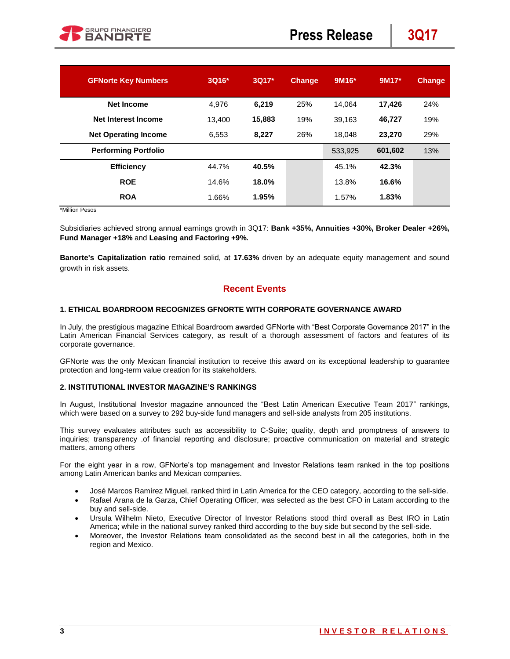| <b>GFNorte Key Numbers</b>  | 3Q16*  | 3Q17*  | <b>Change</b> | $9M16*$ | 9M17*   | <b>Change</b> |
|-----------------------------|--------|--------|---------------|---------|---------|---------------|
| <b>Net Income</b>           | 4.976  | 6.219  | 25%           | 14.064  | 17.426  | 24%           |
| <b>Net Interest Income</b>  | 13.400 | 15,883 | 19%           | 39.163  | 46,727  | 19%           |
| <b>Net Operating Income</b> | 6.553  | 8,227  | 26%           | 18.048  | 23,270  | 29%           |
| <b>Performing Portfolio</b> |        |        |               | 533,925 | 601,602 | 13%           |
| <b>Efficiency</b>           | 44.7%  | 40.5%  |               | 45.1%   | 42.3%   |               |
| <b>ROE</b>                  | 14.6%  | 18.0%  |               | 13.8%   | 16.6%   |               |
| <b>ROA</b>                  | 1.66%  | 1.95%  |               | 1.57%   | 1.83%   |               |

\*Million Pesos

Subsidiaries achieved strong annual earnings growth in 3Q17: **Bank +35%, Annuities +30%, Broker Dealer +26%, Fund Manager +18%** and **Leasing and Factoring +9%.**

**Banorte's Capitalization ratio** remained solid, at **17.63%** driven by an adequate equity management and sound growth in risk assets.

## **Recent Events**

### **1. ETHICAL BOARDROOM RECOGNIZES GFNORTE WITH CORPORATE GOVERNANCE AWARD**

In July, the prestigious magazine Ethical Boardroom awarded GFNorte with "Best Corporate Governance 2017" in the Latin American Financial Services category, as result of a thorough assessment of factors and features of its corporate governance.

GFNorte was the only Mexican financial institution to receive this award on its exceptional leadership to guarantee protection and long-term value creation for its stakeholders.

#### **2. INSTITUTIONAL INVESTOR MAGAZINE'S RANKINGS**

In August, Institutional Investor magazine announced the "Best Latin American Executive Team 2017" rankings, which were based on a survey to 292 buy-side fund managers and sell-side analysts from 205 institutions.

This survey evaluates attributes such as accessibility to C-Suite; quality, depth and promptness of answers to inquiries; transparency .of financial reporting and disclosure; proactive communication on material and strategic matters, among others

For the eight year in a row, GFNorte's top management and Investor Relations team ranked in the top positions among Latin American banks and Mexican companies.

- José Marcos Ramírez Miguel, ranked third in Latin America for the CEO category, according to the sell-side.
- Rafael Arana de la Garza, Chief Operating Officer, was selected as the best CFO in Latam according to the buy and sell-side.
- Ursula Wilhelm Nieto, Executive Director of Investor Relations stood third overall as Best IRO in Latin America; while in the national survey ranked third according to the buy side but second by the sell-side.
- Moreover, the Investor Relations team consolidated as the second best in all the categories, both in the region and Mexico.